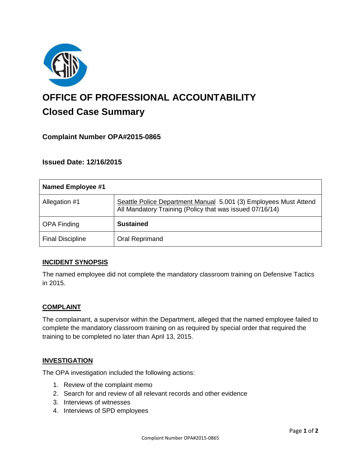

# **OFFICE OF PROFESSIONAL ACCOUNTABILITY Closed Case Summary**

# **Complaint Number OPA#2015-0865**

**Issued Date: 12/16/2015**

| Named Employee #1       |                                                                                                                              |
|-------------------------|------------------------------------------------------------------------------------------------------------------------------|
| Allegation #1           | Seattle Police Department Manual 5.001 (3) Employees Must Attend<br>All Mandatory Training (Policy that was issued 07/16/14) |
| <b>OPA Finding</b>      | <b>Sustained</b>                                                                                                             |
| <b>Final Discipline</b> | Oral Reprimand                                                                                                               |

## **INCIDENT SYNOPSIS**

The named employee did not complete the mandatory classroom training on Defensive Tactics in 2015.

#### **COMPLAINT**

The complainant, a supervisor within the Department, alleged that the named employee failed to complete the mandatory classroom training on as required by special order that required the training to be completed no later than April 13, 2015.

#### **INVESTIGATION**

The OPA investigation included the following actions:

- 1. Review of the complaint memo
- 2. Search for and review of all relevant records and other evidence
- 3. Interviews of witnesses
- 4. Interviews of SPD employees